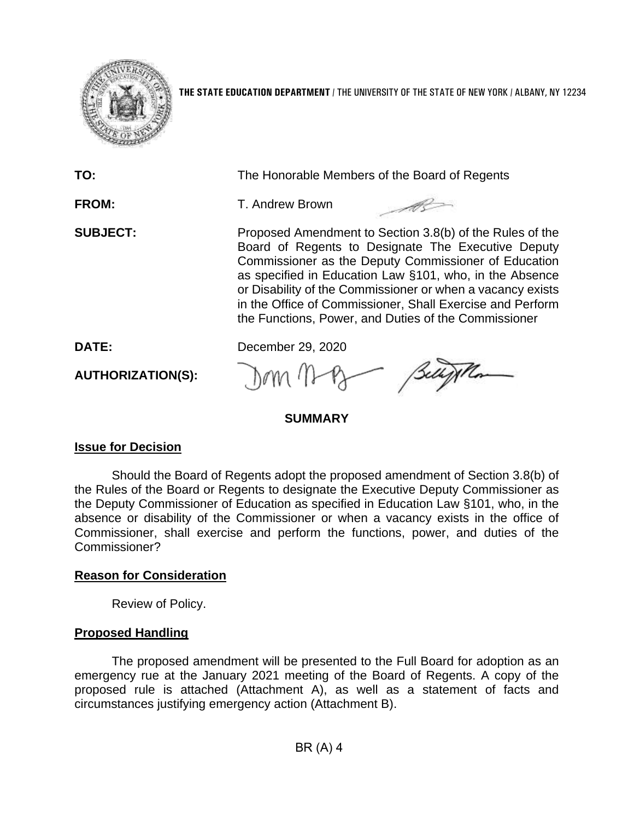

**THE STATE EDUCATION DEPARTMENT** / THE UNIVERSITY OF THE STATE OF NEW YORK / ALBANY, NY 12234

| TO:                      | The Honorable Members of the Board of Regents                                                                                                                                                                                                                                                                                                                                                                        |
|--------------------------|----------------------------------------------------------------------------------------------------------------------------------------------------------------------------------------------------------------------------------------------------------------------------------------------------------------------------------------------------------------------------------------------------------------------|
| <b>FROM:</b>             | T. Andrew Brown                                                                                                                                                                                                                                                                                                                                                                                                      |
| <b>SUBJECT:</b>          | Proposed Amendment to Section 3.8(b) of the Rules of the<br>Board of Regents to Designate The Executive Deputy<br>Commissioner as the Deputy Commissioner of Education<br>as specified in Education Law §101, who, in the Absence<br>or Disability of the Commissioner or when a vacancy exists<br>in the Office of Commissioner, Shall Exercise and Perform<br>the Functions, Power, and Duties of the Commissioner |
| DATE:                    | December 29, 2020                                                                                                                                                                                                                                                                                                                                                                                                    |
| <b>AUTHORIZATION(S):</b> | Belly Mon                                                                                                                                                                                                                                                                                                                                                                                                            |

#### **SUMMARY**

#### **Issue for Decision**

 the Deputy Commissioner of Education as specified in Education Law §101, who, in the absence or disability of the Commissioner or when a vacancy exists in the office of Should the Board of Regents adopt the proposed amendment of Section 3.8(b) of the Rules of the Board or Regents to designate the Executive Deputy Commissioner as Commissioner, shall exercise and perform the functions, power, and duties of the Commissioner?

### **Reason for Consideration**

Review of Policy.

### **Proposed Handling**

 emergency rue at the January 2021 meeting of the Board of Regents. A copy of the proposed rule is attached (Attachment A), as well as a statement of facts and The proposed amendment will be presented to the Full Board for adoption as an circumstances justifying emergency action (Attachment B).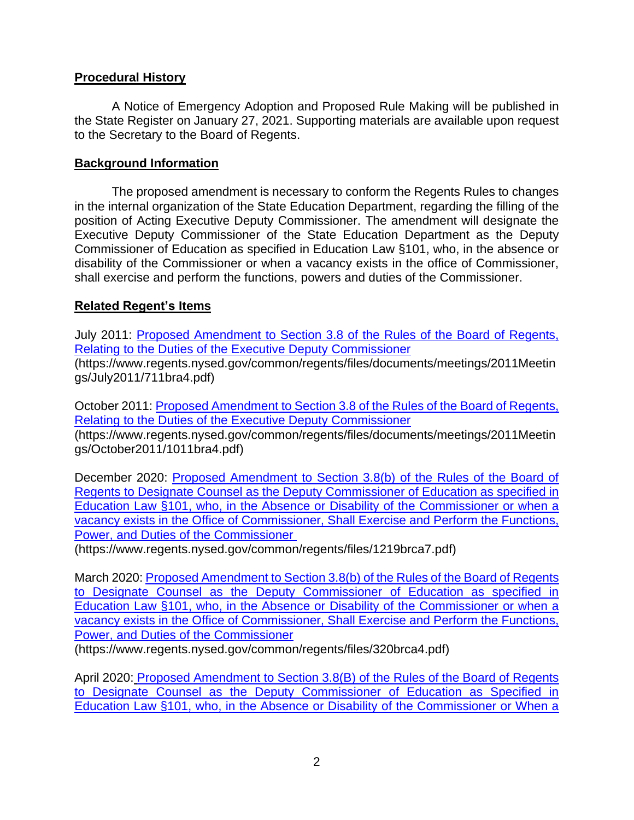#### **Procedural History**

 A Notice of Emergency Adoption and Proposed Rule Making will be published in the State Register on January 27, 2021. Supporting materials are available upon request to the Secretary to the Board of Regents.

#### **Background Information**

 The proposed amendment is necessary to conform the Regents Rules to changes in the internal organization of the State Education Department, regarding the filling of the Executive Deputy Commissioner of the State Education Department as the Deputy disability of the Commissioner or when a vacancy exists in the office of Commissioner, shall exercise and perform the functions, powers and duties of the Commissioner. position of Acting Executive Deputy Commissioner. The amendment will designate the Commissioner of Education as specified in Education Law §101, who, in the absence or

### **Related Regent's Items**

July 2011: Proposed Amendment to Section 3.8 of the Rules of the Board of Regents, [Relating to the Duties of the Executive Deputy Commissioner](https://www.regents.nysed.gov/common/regents/files/documents/meetings/2011Meetings/July2011/711bra4.pdf)  (https://www.regents.nysed.gov/common/regents/files/documents/meetings/2011Meetin gs/July2011/711bra4.pdf)

October 2011: [Proposed Amendment to Section 3.8 of the Rules of the Board of Regents,](https://www.regents.nysed.gov/common/regents/files/documents/meetings/2011Meetings/October2011/1011bra4.pdf)  [Relating to the Duties of the Executive Deputy Commissioner](https://www.regents.nysed.gov/common/regents/files/documents/meetings/2011Meetings/October2011/1011bra4.pdf)  (https://www.regents.nysed.gov/common/regents/files/documents/meetings/2011Meetin gs/October2011/1011bra4.pdf)

Education Law §101, who, in the Absence or Disability of the Commissioner or when a [vacancy exists in the Office of Commissioner, Shall Exercise and Perform the Functions,](https://www.regents.nysed.gov/common/regents/files/1219brca7.pdf)  December 2020: [Proposed Amendment to Section 3.8\(b\) of the Rules of the Board of](https://www.regents.nysed.gov/common/regents/files/1219brca7.pdf)  [Regents to Designate Counsel as the Deputy Commissioner of Education as specified in](https://www.regents.nysed.gov/common/regents/files/1219brca7.pdf)  [Power, and Duties of the Commissioner](https://www.regents.nysed.gov/common/regents/files/1219brca7.pdf) 

(https://www.regents.nysed.gov/common/regents/files/1219brca7.pdf)

Education Law §101, who, in the Absence or Disability of the Commissioner or when a [vacancy exists in the Office of Commissioner, Shall Exercise and Perform the Functions,](https://www.regents.nysed.gov/common/regents/files/320brca4.pdf)  March 2020: [Proposed Amendment to Section 3.8\(b\) of the Rules of the Board of Regents](https://www.regents.nysed.gov/common/regents/files/320brca4.pdf)  [to Designate Counsel as the Deputy Commissioner of Education as specified in](https://www.regents.nysed.gov/common/regents/files/320brca4.pdf)  [Power, and Duties of the Commissioner](https://www.regents.nysed.gov/common/regents/files/320brca4.pdf) 

(https://www.regents.nysed.gov/common/regents/files/320brca4.pdf)

Education Law §101, who, in the Absence or Disability of the Commissioner or When a April 2020: Proposed Amendment to Section 3.8(B) of the Rules of the Board of Regents [to Designate Counsel as the Deputy Commissioner of Education as Specified in](https://www.regents.nysed.gov/common/regents/files/420brca3.pdf)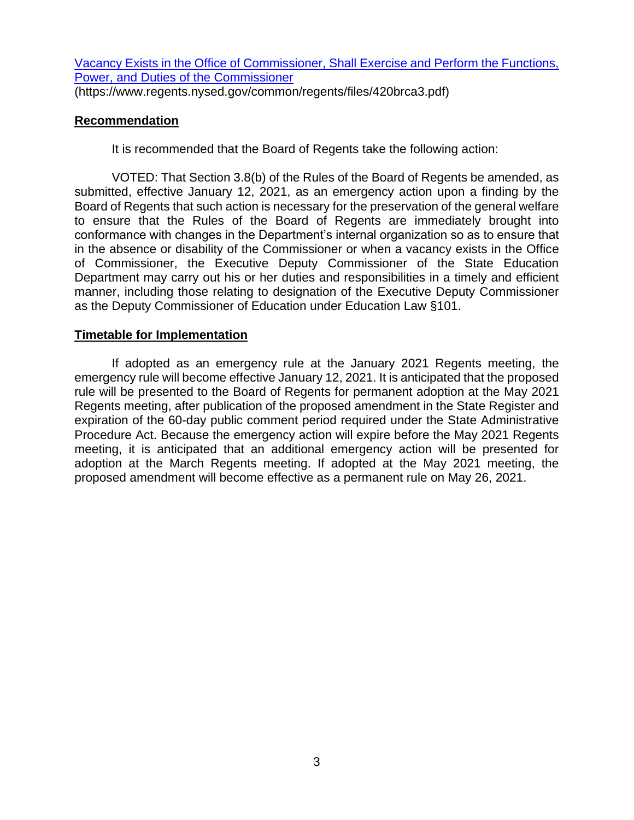[Vacancy Exists in the Office of Commissioner, Shall Exercise and Perform the Functions,](https://www.regents.nysed.gov/common/regents/files/420brca3.pdf)  [Power, and Duties of the Commissioner](https://www.regents.nysed.gov/common/regents/files/420brca3.pdf) 

(https://www.regents.nysed.gov/common/regents/files/420brca3.pdf)

## **Recommendation**

It is recommended that the Board of Regents take the following action:

 VOTED: That Section 3.8(b) of the Rules of the Board of Regents be amended, as submitted, effective January 12, 2021, as an emergency action upon a finding by the Board of Regents that such action is necessary for the preservation of the general welfare to ensure that the Rules of the Board of Regents are immediately brought into conformance with changes in the Department's internal organization so as to ensure that in the absence or disability of the Commissioner or when a vacancy exists in the Office of Commissioner, the Executive Deputy Commissioner of the State Education Department may carry out his or her duties and responsibilities in a timely and efficient manner, including those relating to designation of the Executive Deputy Commissioner as the Deputy Commissioner of Education under Education Law §101.

# **Timetable for Implementation**

 rule will be presented to the Board of Regents for permanent adoption at the May 2021 If adopted as an emergency rule at the January 2021 Regents meeting, the emergency rule will become effective January 12, 2021. It is anticipated that the proposed Regents meeting, after publication of the proposed amendment in the State Register and expiration of the 60-day public comment period required under the State Administrative Procedure Act. Because the emergency action will expire before the May 2021 Regents meeting, it is anticipated that an additional emergency action will be presented for adoption at the March Regents meeting. If adopted at the May 2021 meeting, the proposed amendment will become effective as a permanent rule on May 26, 2021.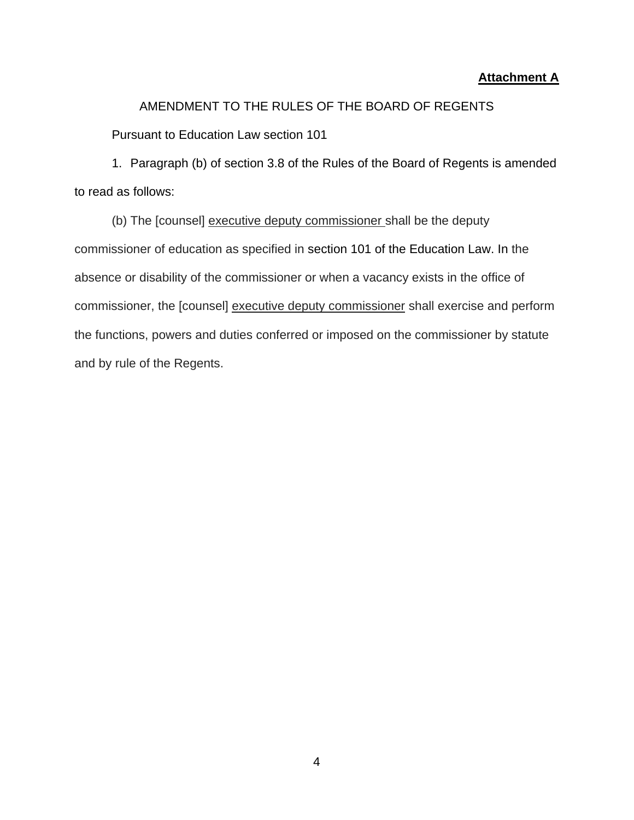#### **Attachment A**

#### AMENDMENT TO THE RULES OF THE BOARD OF REGENTS

Pursuant to Education Law section 101

1. Paragraph (b) of section 3.8 of the Rules of the Board of Regents is amended to read as follows:

(b) The [counsel] executive deputy commissioner shall be the deputy commissioner of education as specified in [section 101 of the Education Law.](https://1.next.westlaw.com/Link/Document/FullText?findType=L&pubNum=1000069&cite=NYEDS101&originatingDoc=I4DF01D50041D11E196FBA74D03BC51B0&refType=LQ&originationContext=document&transitionType=DocumentItem&contextData=(sc.Category)) In the absence or disability of the commissioner or when a vacancy exists in the office of commissioner, the [counsel] executive deputy commissioner shall exercise and perform the functions, powers and duties conferred or imposed on the commissioner by statute and by rule of the Regents.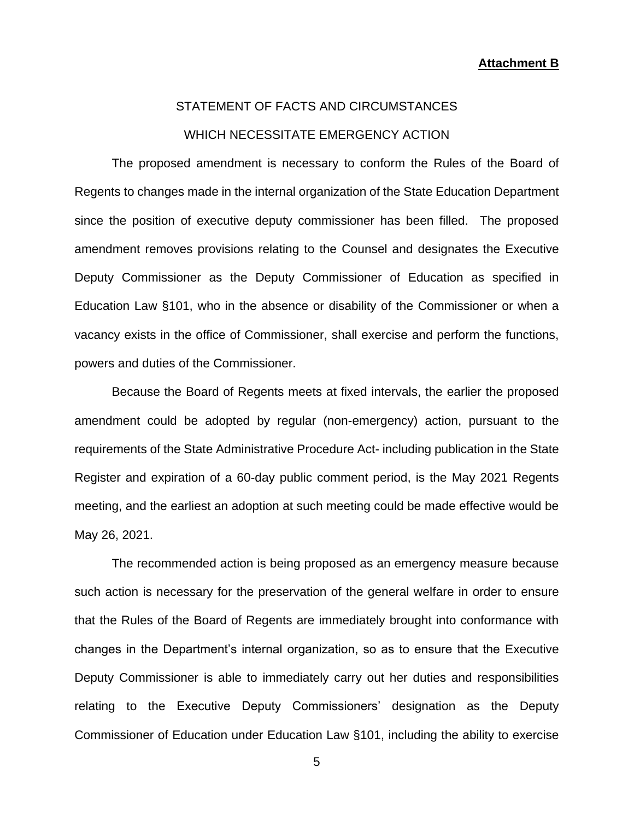# STATEMENT OF FACTS AND CIRCUMSTANCES WHICH NECESSITATE EMERGENCY ACTION

 Regents to changes made in the internal organization of the State Education Department amendment removes provisions relating to the Counsel and designates the Executive vacancy exists in the office of Commissioner, shall exercise and perform the functions, The proposed amendment is necessary to conform the Rules of the Board of since the position of executive deputy commissioner has been filled. The proposed Deputy Commissioner as the Deputy Commissioner of Education as specified in Education Law §101, who in the absence or disability of the Commissioner or when a powers and duties of the Commissioner.

 requirements of the State Administrative Procedure Act- including publication in the State Register and expiration of a 60-day public comment period, is the May 2021 Regents Because the Board of Regents meets at fixed intervals, the earlier the proposed amendment could be adopted by regular (non-emergency) action, pursuant to the meeting, and the earliest an adoption at such meeting could be made effective would be May 26, 2021.

 Commissioner of Education under Education Law §101, including the ability to exercise The recommended action is being proposed as an emergency measure because such action is necessary for the preservation of the general welfare in order to ensure that the Rules of the Board of Regents are immediately brought into conformance with changes in the Department's internal organization, so as to ensure that the Executive Deputy Commissioner is able to immediately carry out her duties and responsibilities relating to the Executive Deputy Commissioners' designation as the Deputy

5